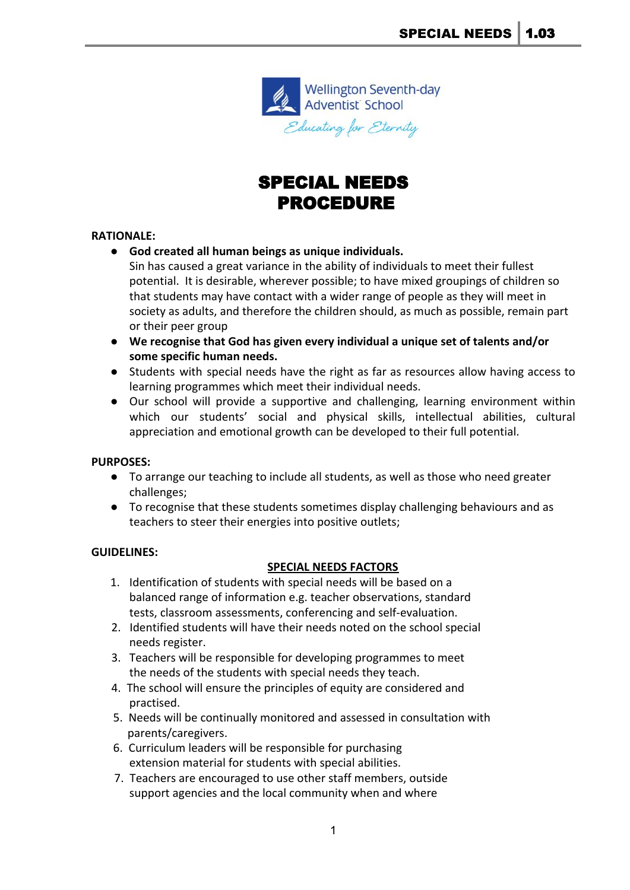

# SPECIAL NEEDS PROCEDURE

#### **RATIONALE:**

- **God created all human beings as unique individuals.**
	- Sin has caused a great variance in the ability of individuals to meet their fullest potential. It is desirable, wherever possible; to have mixed groupings of children so that students may have contact with a wider range of people as they will meet in society as adults, and therefore the children should, as much as possible, remain part or their peer group
- **We recognise that God has given every individual a unique set of talents and/or some specific human needs.**
- Students with special needs have the right as far as resources allow having access to learning programmes which meet their individual needs.
- Our school will provide a supportive and challenging, learning environment within which our students' social and physical skills, intellectual abilities, cultural appreciation and emotional growth can be developed to their full potential.

# **PURPOSES:**

- To arrange our teaching to include all students, as well as those who need greater challenges;
- To recognise that these students sometimes display challenging behaviours and as teachers to steer their energies into positive outlets;

#### **GUIDELINES:**

# **SPECIAL NEEDS FACTORS**

- 1. Identification of students with special needs will be based on a balanced range of information e.g. teacher observations, standard tests, classroom assessments, conferencing and self-evaluation.
- 2. Identified students will have their needs noted on the school special needs register.
- 3. Teachers will be responsible for developing programmes to meet the needs of the students with special needs they teach.
- 4. The school will ensure the principles of equity are considered and practised.
- 5. Needs will be continually monitored and assessed in consultation with parents/caregivers.
- 6. Curriculum leaders will be responsible for purchasing extension material for students with special abilities.
- 7. Teachers are encouraged to use other staff members, outside support agencies and the local community when and where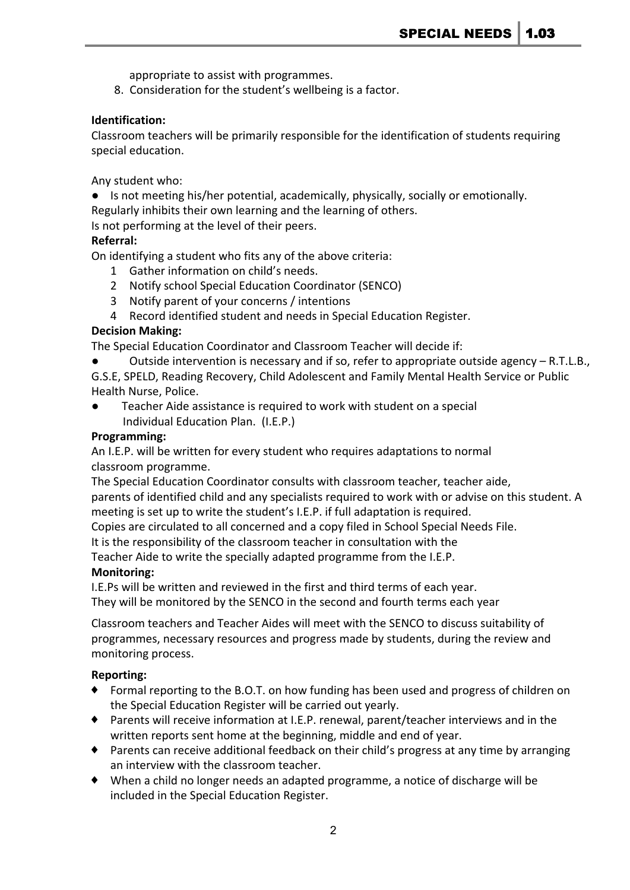appropriate to assist with programmes.

8. Consideration for the student's wellbeing is a factor.

### **Identification:**

Classroom teachers will be primarily responsible for the identification of students requiring special education.

Any student who:

● Is not meeting his/her potential, academically, physically, socially or emotionally. Regularly inhibits their own learning and the learning of others.

Is not performing at the level of their peers.

#### **Referral:**

On identifying a student who fits any of the above criteria:

- 1 Gather information on child's needs.
- 2 Notify school Special Education Coordinator (SENCO)
- 3 Notify parent of your concerns / intentions
- 4 Record identified student and needs in Special Education Register.

#### **Decision Making:**

The Special Education Coordinator and Classroom Teacher will decide if:

- Outside intervention is necessary and if so, refer to appropriate outside agency  $R.T.L.B.,$
- G.S.E, SPELD, Reading Recovery, Child Adolescent and Family Mental Health Service or Public Health Nurse, Police.
- Teacher Aide assistance is required to work with student on a special Individual Education Plan. (I.E.P.)

#### **Programming:**

An I.E.P. will be written for every student who requires adaptations to normal classroom programme.

The Special Education Coordinator consults with classroom teacher, teacher aide, parents of identified child and any specialists required to work with or advise on this student. A meeting is set up to write the student's I.E.P. if full adaptation is required.

Copies are circulated to all concerned and a copy filed in School Special Needs File.

It is the responsibility of the classroom teacher in consultation with the

Teacher Aide to write the specially adapted programme from the I.E.P.

# **Monitoring:**

I.E.Ps will be written and reviewed in the first and third terms of each year. They will be monitored by the SENCO in the second and fourth terms each year

Classroom teachers and Teacher Aides will meet with the SENCO to discuss suitability of programmes, necessary resources and progress made by students, during the review and monitoring process.

# **Reporting:**

- Formal reporting to the B.O.T. on how funding has been used and progress of children on the Special Education Register will be carried out yearly.
- ♦ Parents will receive information at I.E.P. renewal, parent/teacher interviews and in the written reports sent home at the beginning, middle and end of year.
- ♦ Parents can receive additional feedback on their child's progress at any time by arranging an interview with the classroom teacher.
- ♦ When a child no longer needs an adapted programme, a notice of discharge will be included in the Special Education Register.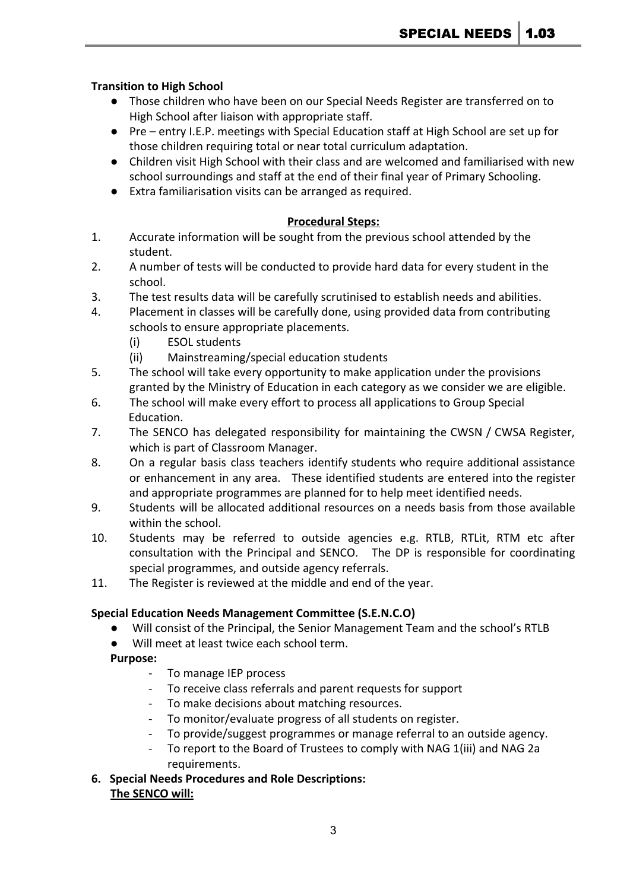# **Transition to High School**

- Those children who have been on our Special Needs Register are transferred on to High School after liaison with appropriate staff.
- Pre entry I.E.P. meetings with Special Education staff at High School are set up for those children requiring total or near total curriculum adaptation.
- Children visit High School with their class and are welcomed and familiarised with new school surroundings and staff at the end of their final year of Primary Schooling.
- Extra familiarisation visits can be arranged as required.

# **Procedural Steps:**

- 1. Accurate information will be sought from the previous school attended by the student.
- 2. A number of tests will be conducted to provide hard data for every student in the school.
- 3. The test results data will be carefully scrutinised to establish needs and abilities.
- 4. Placement in classes will be carefully done, using provided data from contributing schools to ensure appropriate placements.
	- (i) ESOL students
	- (ii) Mainstreaming/special education students
- 5. The school will take every opportunity to make application under the provisions granted by the Ministry of Education in each category as we consider we are eligible.
- 6. The school will make every effort to process all applications to Group Special Education.
- 7. The SENCO has delegated responsibility for maintaining the CWSN / CWSA Register, which is part of Classroom Manager.
- 8. On a regular basis class teachers identify students who require additional assistance or enhancement in any area. These identified students are entered into the register and appropriate programmes are planned for to help meet identified needs.
- 9. Students will be allocated additional resources on a needs basis from those available within the school.
- 10. Students may be referred to outside agencies e.g. RTLB, RTLit, RTM etc after consultation with the Principal and SENCO. The DP is responsible for coordinating special programmes, and outside agency referrals.
- 11. The Register is reviewed at the middle and end of the year.

# **Special Education Needs Management Committee (S.E.N.C.O)**

- Will consist of the Principal, the Senior Management Team and the school's RTLB
- Will meet at least twice each school term.

# **Purpose:**

- To manage IEP process
- To receive class referrals and parent requests for support
- To make decisions about matching resources.
- To monitor/evaluate progress of all students on register.
- To provide/suggest programmes or manage referral to an outside agency.
- To report to the Board of Trustees to comply with NAG 1(iii) and NAG 2a requirements.
- **6. Special Needs Procedures and Role Descriptions: The SENCO will:**